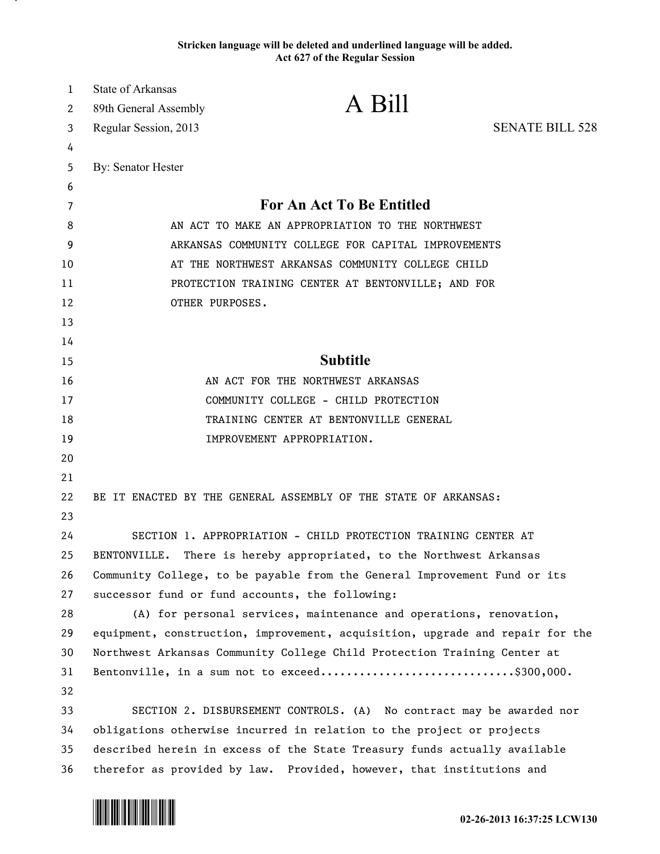## **Stricken language will be deleted and underlined language will be added. Act 627 of the Regular Session**

| 1  | <b>State of Arkansas</b>                                                      |                                                                      |                        |
|----|-------------------------------------------------------------------------------|----------------------------------------------------------------------|------------------------|
| 2  | 89th General Assembly                                                         | A Bill                                                               |                        |
| 3  | Regular Session, 2013                                                         |                                                                      | <b>SENATE BILL 528</b> |
| 4  |                                                                               |                                                                      |                        |
| 5  | By: Senator Hester                                                            |                                                                      |                        |
| 6  |                                                                               |                                                                      |                        |
| 7  | For An Act To Be Entitled                                                     |                                                                      |                        |
| 8  | AN ACT TO MAKE AN APPROPRIATION TO THE NORTHWEST                              |                                                                      |                        |
| 9  | ARKANSAS COMMUNITY COLLEGE FOR CAPITAL IMPROVEMENTS                           |                                                                      |                        |
| 10 | AT THE NORTHWEST ARKANSAS COMMUNITY COLLEGE CHILD                             |                                                                      |                        |
| 11 | PROTECTION TRAINING CENTER AT BENTONVILLE; AND FOR                            |                                                                      |                        |
| 12 | OTHER PURPOSES.                                                               |                                                                      |                        |
| 13 |                                                                               |                                                                      |                        |
| 14 |                                                                               |                                                                      |                        |
| 15 |                                                                               | <b>Subtitle</b>                                                      |                        |
| 16 | AN ACT FOR THE NORTHWEST ARKANSAS                                             |                                                                      |                        |
| 17 | COMMUNITY COLLEGE - CHILD PROTECTION                                          |                                                                      |                        |
| 18 | TRAINING CENTER AT BENTONVILLE GENERAL                                        |                                                                      |                        |
| 19 |                                                                               | IMPROVEMENT APPROPRIATION.                                           |                        |
| 20 |                                                                               |                                                                      |                        |
| 21 |                                                                               |                                                                      |                        |
| 22 |                                                                               | BE IT ENACTED BY THE GENERAL ASSEMBLY OF THE STATE OF ARKANSAS:      |                        |
| 23 |                                                                               |                                                                      |                        |
| 24 |                                                                               | SECTION 1. APPROPRIATION - CHILD PROTECTION TRAINING CENTER AT       |                        |
| 25 | BENTONVILLE.                                                                  | There is hereby appropriated, to the Northwest Arkansas              |                        |
| 26 | Community College, to be payable from the General Improvement Fund or its     |                                                                      |                        |
| 27 | successor fund or fund accounts, the following:                               |                                                                      |                        |
| 28 |                                                                               | (A) for personal services, maintenance and operations, renovation,   |                        |
| 29 | equipment, construction, improvement, acquisition, upgrade and repair for the |                                                                      |                        |
| 30 | Northwest Arkansas Community College Child Protection Training Center at      |                                                                      |                        |
| 31 |                                                                               | Bentonville, in a sum not to exceed\$300,000.                        |                        |
| 32 |                                                                               |                                                                      |                        |
| 33 |                                                                               | SECTION 2. DISBURSEMENT CONTROLS. (A) No contract may be awarded nor |                        |
| 34 | obligations otherwise incurred in relation to the project or projects         |                                                                      |                        |
| 35 | described herein in excess of the State Treasury funds actually available     |                                                                      |                        |
| 36 | therefor as provided by law. Provided, however, that institutions and         |                                                                      |                        |



.